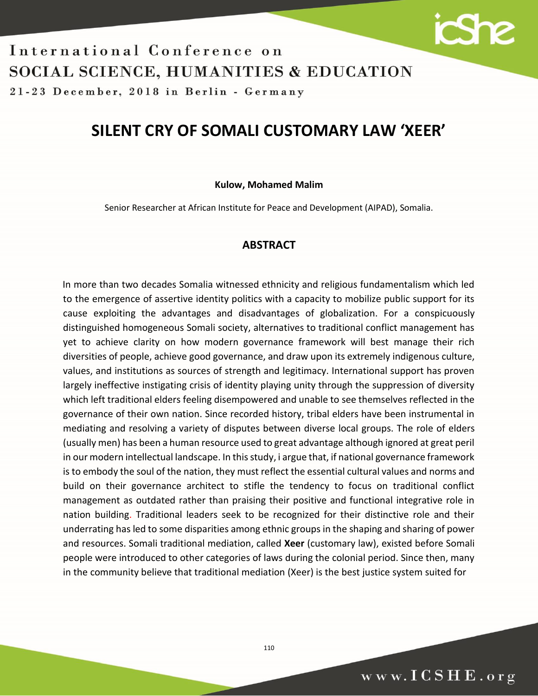

21-23 December, 2018 in Berlin - Germany

## **SILENT CRY OF SOMALI CUSTOMARY LAW 'XEER'**

### **Kulow, Mohamed Malim**

Senior Researcher at African Institute for Peace and Development (AIPAD), Somalia.

## **ABSTRACT**

In more than two decades Somalia witnessed ethnicity and religious fundamentalism which led to the emergence of assertive identity politics with a capacity to mobilize public support for its cause exploiting the advantages and disadvantages of globalization. For a conspicuously distinguished homogeneous Somali society, alternatives to traditional conflict management has yet to achieve clarity on how modern governance framework will best manage their rich diversities of people, achieve good governance, and draw upon its extremely indigenous culture, values, and institutions as sources of strength and legitimacy. International support has proven largely ineffective instigating crisis of identity playing unity through the suppression of diversity which left traditional elders feeling disempowered and unable to see themselves reflected in the governance of their own nation. Since recorded history, tribal elders have been instrumental in mediating and resolving a variety of disputes between diverse local groups. The role of elders (usually men) has been a human resource used to great advantage although ignored at great peril in our modern intellectual landscape. In this study, i argue that, if national governance framework is to embody the soul of the nation, they must reflect the essential cultural values and norms and build on their governance architect to stifle the tendency to focus on traditional conflict management as outdated rather than praising their positive and functional integrative role in nation building. Traditional leaders seek to be recognized for their distinctive role and their underrating has led to some disparities among ethnic groups in the shaping and sharing of power and resources. Somali traditional mediation, called **Xeer** (customary law), existed before Somali people were introduced to other categories of laws during the colonial period. Since then, many in the community believe that traditional mediation (Xeer) is the best justice system suited for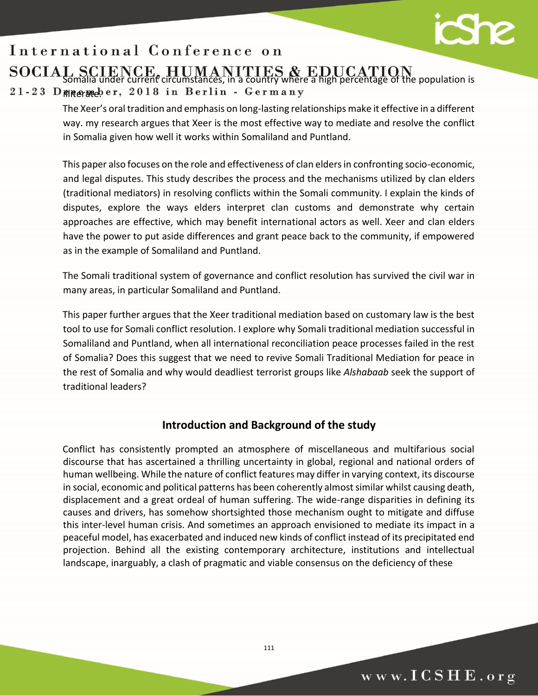

## $\overline{\phantom{a}}$ Somalia under current circumstances, in a country where a high percentage of the population is

## 21-23 D mnegmeber, 2018 in Berlin - Germany

The Xeer's oral tradition and emphasis on long-lasting relationships make it effective in a different way. my research argues that Xeer is the most effective way to mediate and resolve the conflict in Somalia given how well it works within Somaliland and Puntland.

This paper also focuses on the role and effectiveness of clan elders in confronting socio-economic, and legal disputes. This study describes the process and the mechanisms utilized by clan elders (traditional mediators) in resolving conflicts within the Somali community. I explain the kinds of disputes, explore the ways elders interpret clan customs and demonstrate why certain approaches are effective, which may benefit international actors as well. Xeer and clan elders have the power to put aside differences and grant peace back to the community, if empowered as in the example of Somaliland and Puntland.

The Somali traditional system of governance and conflict resolution has survived the civil war in many areas, in particular Somaliland and Puntland.

This paper further argues that the Xeer traditional mediation based on customary law is the best tool to use for Somali conflict resolution. I explore why Somali traditional mediation successful in Somaliland and Puntland, when all international reconciliation peace processes failed in the rest of Somalia? Does this suggest that we need to revive Somali Traditional Mediation for peace in the rest of Somalia and why would deadliest terrorist groups like *Alshabaab* seek the support of traditional leaders?

## **Introduction and Background of the study**

Conflict has consistently prompted an atmosphere of miscellaneous and multifarious social discourse that has ascertained a thrilling uncertainty in global, regional and national orders of human wellbeing. While the nature of conflict features may differ in varying context, its discourse in social, economic and political patterns has been coherently almost similar whilst causing death, displacement and a great ordeal of human suffering. The wide-range disparities in defining its causes and drivers, has somehow shortsighted those mechanism ought to mitigate and diffuse this inter-level human crisis. And sometimes an approach envisioned to mediate its impact in a peaceful model, has exacerbated and induced new kinds of conflict instead of its precipitated end projection. Behind all the existing contemporary architecture, institutions and intellectual landscape, inarguably, a clash of pragmatic and viable consensus on the deficiency of these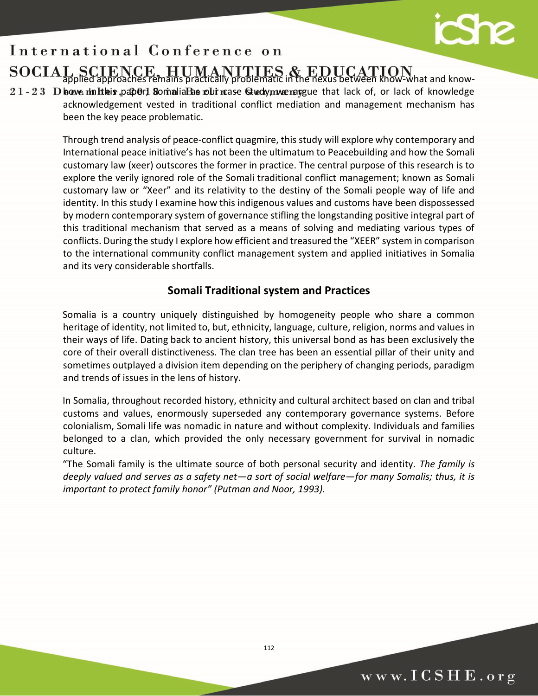## $\overline{\phantom{a}}$ applied approaches remains practically problematic in the nexus between know-what and know-

 $21 - 23$  D howe multes paper] Somalia Bas our mase Gudy music pay that lack of, or lack of knowledge acknowledgement vested in traditional conflict mediation and management mechanism has been the key peace problematic.

> Through trend analysis of peace-conflict quagmire, this study will explore why contemporary and International peace initiative's has not been the ultimatum to Peacebuilding and how the Somali customary law (xeer) outscores the former in practice. The central purpose of this research is to explore the verily ignored role of the Somali traditional conflict management; known as Somali customary law or "Xeer" and its relativity to the destiny of the Somali people way of life and identity. In this study I examine how this indigenous values and customs have been dispossessed by modern contemporary system of governance stifling the longstanding positive integral part of this traditional mechanism that served as a means of solving and mediating various types of conflicts. During the study I explore how efficient and treasured the "XEER" system in comparison to the international community conflict management system and applied initiatives in Somalia and its very considerable shortfalls.

## **Somali Traditional system and Practices**

Somalia is a country uniquely distinguished by homogeneity people who share a common heritage of identity, not limited to, but, ethnicity, language, culture, religion, norms and values in their ways of life. Dating back to ancient history, this universal bond as has been exclusively the core of their overall distinctiveness. The clan tree has been an essential pillar of their unity and sometimes outplayed a division item depending on the periphery of changing periods, paradigm and trends of issues in the lens of history.

In Somalia, throughout recorded history, ethnicity and cultural architect based on clan and tribal customs and values, enormously superseded any contemporary governance systems. Before colonialism, Somali life was nomadic in nature and without complexity. Individuals and families belonged to a clan, which provided the only necessary government for survival in nomadic culture.

"The Somali family is the ultimate source of both personal security and identity. *The family is deeply valued and serves as a safety net—a sort of social welfare—for many Somalis; thus, it is important to protect family honor" (Putman and Noor, 1993).*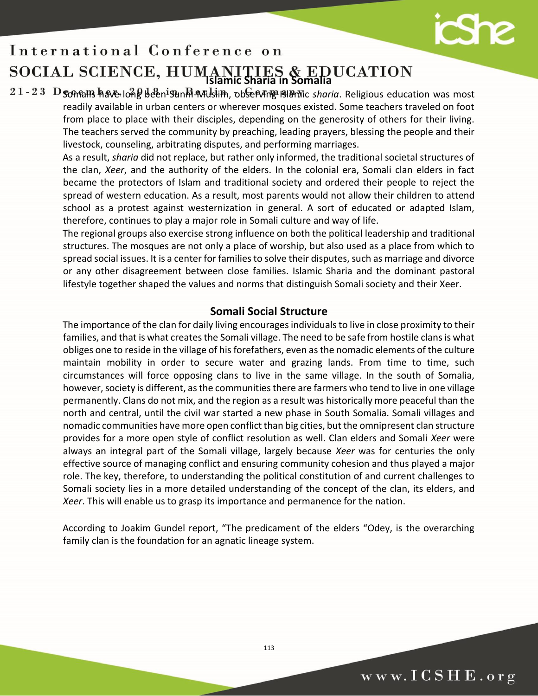

## $\overline{\phantom{a}}$ **Islamic Sharia in Somalia**

21-23 D Somalls have long been Sunhi-Muslim, observing Blamic sharia. Religious education was most readily available in urban centers or wherever mosques existed. Some teachers traveled on foot from place to place with their disciples, depending on the generosity of others for their living. The teachers served the community by preaching, leading prayers, blessing the people and their livestock, counseling, arbitrating disputes, and performing marriages.

> As a result, *sharia* did not replace, but rather only informed, the traditional societal structures of the clan, *Xeer*, and the authority of the elders. In the colonial era, Somali clan elders in fact became the protectors of Islam and traditional society and ordered their people to reject the spread of western education. As a result, most parents would not allow their children to attend school as a protest against westernization in general. A sort of educated or adapted Islam, therefore, continues to play a major role in Somali culture and way of life.

> The regional groups also exercise strong influence on both the political leadership and traditional structures. The mosques are not only a place of worship, but also used as a place from which to spread social issues. It is a center for families to solve their disputes, such as marriage and divorce or any other disagreement between close families. Islamic Sharia and the dominant pastoral lifestyle together shaped the values and norms that distinguish Somali society and their Xeer.

## **Somali Social Structure**

The importance of the clan for daily living encourages individuals to live in close proximity to their families, and that is what creates the Somali village. The need to be safe from hostile clans is what obliges one to reside in the village of his forefathers, even as the nomadic elements of the culture maintain mobility in order to secure water and grazing lands. From time to time, such circumstances will force opposing clans to live in the same village. In the south of Somalia, however, society is different, as the communities there are farmers who tend to live in one village permanently. Clans do not mix, and the region as a result was historically more peaceful than the north and central, until the civil war started a new phase in South Somalia. Somali villages and nomadic communities have more open conflict than big cities, but the omnipresent clan structure provides for a more open style of conflict resolution as well. Clan elders and Somali *Xeer* were always an integral part of the Somali village, largely because *Xeer* was for centuries the only effective source of managing conflict and ensuring community cohesion and thus played a major role. The key, therefore, to understanding the political constitution of and current challenges to Somali society lies in a more detailed understanding of the concept of the clan, its elders, and *Xeer*. This will enable us to grasp its importance and permanence for the nation.

According to Joakim Gundel report, "The predicament of the elders "Odey, is the overarching family clan is the foundation for an agnatic lineage system.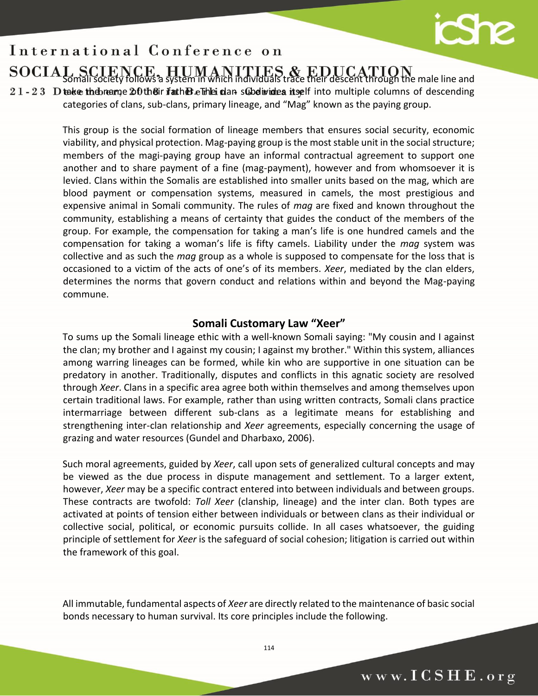# cSh

## $\overline{\phantom{a}}$ Somali society follows a system in which individuals trace their descent through the male line and

 $21 - 23$  D take the breame  $20$  the Bir if at here. The clan subdivides itself into multiple columns of descending categories of clans, sub-clans, primary lineage, and "Mag" known as the paying group.

> This group is the social formation of lineage members that ensures social security, economic viability, and physical protection. Mag-paying group is the most stable unit in the social structure; members of the magi-paying group have an informal contractual agreement to support one another and to share payment of a fine (mag-payment), however and from whomsoever it is levied. Clans within the Somalis are established into smaller units based on the mag, which are blood payment or compensation systems, measured in camels, the most prestigious and expensive animal in Somali community. The rules of *mag* are fixed and known throughout the community, establishing a means of certainty that guides the conduct of the members of the group. For example, the compensation for taking a man's life is one hundred camels and the compensation for taking a woman's life is fifty camels. Liability under the *mag* system was collective and as such the *mag* group as a whole is supposed to compensate for the loss that is occasioned to a victim of the acts of one's of its members. *Xeer*, mediated by the clan elders, determines the norms that govern conduct and relations within and beyond the Mag-paying commune.

## **Somali Customary Law "Xeer"**

To sums up the Somali lineage ethic with a well-known Somali saying: "My cousin and I against the clan; my brother and I against my cousin; I against my brother." Within this system, alliances among warring lineages can be formed, while kin who are supportive in one situation can be predatory in another. Traditionally, disputes and conflicts in this agnatic society are resolved through *Xeer*. Clans in a specific area agree both within themselves and among themselves upon certain traditional laws. For example, rather than using written contracts, Somali clans practice intermarriage between different sub-clans as a legitimate means for establishing and strengthening inter-clan relationship and *Xeer* agreements, especially concerning the usage of grazing and water resources (Gundel and Dharbaxo, 2006).

Such moral agreements, guided by *Xeer*, call upon sets of generalized cultural concepts and may be viewed as the due process in dispute management and settlement. To a larger extent, however, *Xeer* may be a specific contract entered into between individuals and between groups. These contracts are twofold: *Toll Xeer* (clanship, lineage) and the inter clan. Both types are activated at points of tension either between individuals or between clans as their individual or collective social, political, or economic pursuits collide. In all cases whatsoever, the guiding principle of settlement for *Xeer* is the safeguard of social cohesion; litigation is carried out within the framework of this goal.

All immutable, fundamental aspects of *Xeer* are directly related to the maintenance of basic social bonds necessary to human survival. Its core principles include the following.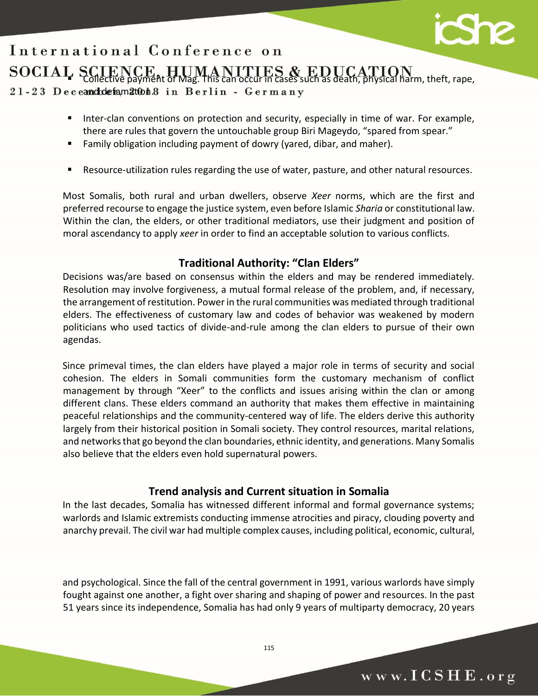### $\overline{\phantom{a}}$  $\blacksquare$  Collective payment of Mag. This can occur in cases such as death, physical harm, theft, rape, 21-23 Deceandodefamatubh8 in Berlin - Germany

- Inter-clan conventions on protection and security, especially in time of war. For example, there are rules that govern the untouchable group Biri Mageydo, "spared from spear."
- Family obligation including payment of dowry (yared, dibar, and maher).
- Resource-utilization rules regarding the use of water, pasture, and other natural resources.

Most Somalis, both rural and urban dwellers, observe *Xeer* norms, which are the first and preferred recourse to engage the justice system, even before Islamic *Sharia* or constitutional law. Within the clan, the elders, or other traditional mediators, use their judgment and position of moral ascendancy to apply *xeer* in order to find an acceptable solution to various conflicts.

## **Traditional Authority: "Clan Elders"**

Decisions was/are based on consensus within the elders and may be rendered immediately. Resolution may involve forgiveness, a mutual formal release of the problem, and, if necessary, the arrangement of restitution. Power in the rural communities was mediated through traditional elders. The effectiveness of customary law and codes of behavior was weakened by modern politicians who used tactics of divide-and-rule among the clan elders to pursue of their own agendas.

Since primeval times, the clan elders have played a major role in terms of security and social cohesion. The elders in Somali communities form the customary mechanism of conflict management by through "Xeer" to the conflicts and issues arising within the clan or among different clans. These elders command an authority that makes them effective in maintaining peaceful relationships and the community-centered way of life. The elders derive this authority largely from their historical position in Somali society. They control resources, marital relations, and networks that go beyond the clan boundaries, ethnic identity, and generations. Many Somalis also believe that the elders even hold supernatural powers.

## **Trend analysis and Current situation in Somalia**

In the last decades, Somalia has witnessed different informal and formal governance systems; warlords and Islamic extremists conducting immense atrocities and piracy, clouding poverty and anarchy prevail. The civil war had multiple complex causes, including political, economic, cultural,

and psychological. Since the fall of the central government in 1991, various warlords have simply fought against one another, a fight over sharing and shaping of power and resources. In the past 51 years since its independence, Somalia has had only 9 years of multiparty democracy, 20 years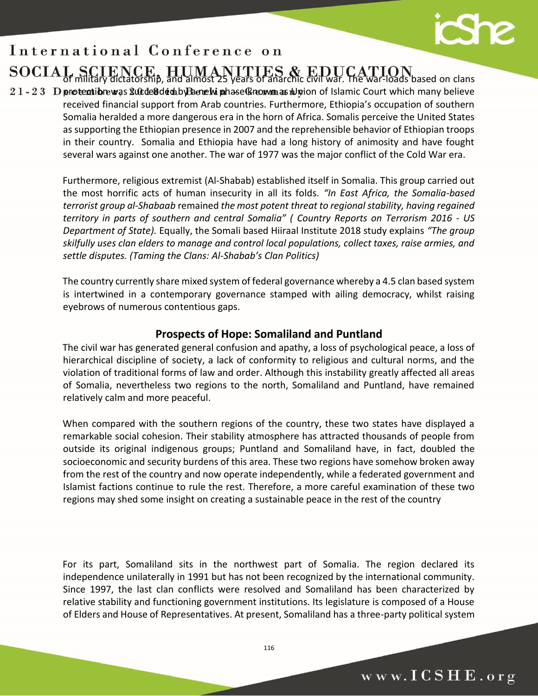# $\mathbf{S}$

## $\overline{\phantom{a}}$ of military dictatorship, and almost 25 years of anarchic civil war. The war-loads based on clans

 $21 - 23$  D protectibre was succeed ded by Ba new phase (known as rulgation of Islamic Court which many believe received financial support from Arab countries. Furthermore, Ethiopia's occupation of southern Somalia heralded a more dangerous era in the horn of Africa. Somalis perceive the United States as supporting the Ethiopian presence in 2007 and the reprehensible behavior of Ethiopian troops in their country. Somalia and Ethiopia have had a long history of animosity and have fought several wars against one another. The war of 1977 was the major conflict of the Cold War era.

> Furthermore, religious extremist (Al-Shabab) established itself in Somalia. This group carried out the most horrific acts of human insecurity in all its folds. *"In East Africa, the Somalia-based terrorist group al-Shabaab* remained *the most potent threat to regional stability, having regained territory in parts of southern and central Somalia" ( [Country Reports on Terrorism 2016 -](https://www.state.gov/documents/organization/272488.pdf) US [Department of State\).](https://www.state.gov/documents/organization/272488.pdf)* Equally, the Somali based Hiiraal Institute 2018 study explains *"The group skilfully uses clan elders to manage and control local populations, collect taxes, raise armies, and settle disputes. (Taming the Clans: Al-Shabab's Clan Politics)*

> The country currently share mixed system of federal governance whereby a 4.5 clan based system is intertwined in a contemporary governance stamped with ailing democracy, whilst raising eyebrows of numerous contentious gaps.

## **Prospects of Hope: Somaliland and Puntland**

The civil war has generated general confusion and apathy, a loss of psychological peace, a loss of hierarchical discipline of society, a lack of conformity to religious and cultural norms, and the violation of traditional forms of law and order. Although this instability greatly affected all areas of Somalia, nevertheless two regions to the north, Somaliland and Puntland, have remained relatively calm and more peaceful.

When compared with the southern regions of the country, these two states have displayed a remarkable social cohesion. Their stability atmosphere has attracted thousands of people from outside its original indigenous groups; Puntland and Somaliland have, in fact, doubled the socioeconomic and security burdens of this area. These two regions have somehow broken away from the rest of the country and now operate independently, while a federated government and Islamist factions continue to rule the rest. Therefore, a more careful examination of these two regions may shed some insight on creating a sustainable peace in the rest of the country

For its part, Somaliland sits in the northwest part of Somalia. The region declared its independence unilaterally in 1991 but has not been recognized by the international community. Since 1997, the last clan conflicts were resolved and Somaliland has been characterized by relative stability and functioning government institutions. Its legislature is composed of a House of Elders and House of Representatives. At present, Somaliland has a three-party political system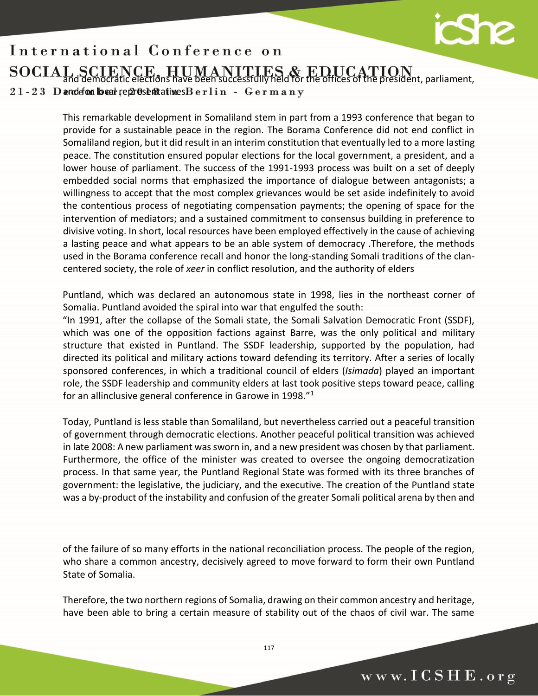

 $\overline{\phantom{a}}$ and democratic elections have been successfully held for the offices of the president, parliament,  $21 - 23$  D and efton local representatives B erlin - G erm any

> This remarkable development in Somaliland stem in part from a 1993 conference that began to provide for a sustainable peace in the region. The Borama Conference did not end conflict in Somaliland region, but it did result in an interim constitution that eventually led to a more lasting peace. The constitution ensured popular elections for the local government, a president, and a lower house of parliament. The success of the 1991-1993 process was built on a set of deeply embedded social norms that emphasized the importance of dialogue between antagonists; a willingness to accept that the most complex grievances would be set aside indefinitely to avoid the contentious process of negotiating compensation payments; the opening of space for the intervention of mediators; and a sustained commitment to consensus building in preference to divisive voting. In short, local resources have been employed effectively in the cause of achieving a lasting peace and what appears to be an able system of democracy .Therefore, the methods used in the Borama conference recall and honor the long-standing Somali traditions of the clancentered society, the role of *xeer* in conflict resolution, and the authority of elders

> Puntland, which was declared an autonomous state in 1998, lies in the northeast corner of Somalia. Puntland avoided the spiral into war that engulfed the south:

> "In 1991, after the collapse of the Somali state, the Somali Salvation Democratic Front (SSDF), which was one of the opposition factions against Barre, was the only political and military structure that existed in Puntland. The SSDF leadership, supported by the population, had directed its political and military actions toward defending its territory. After a series of locally sponsored conferences, in which a traditional council of elders (*Isimada*) played an important role, the SSDF leadership and community elders at last took positive steps toward peace, calling for an allinclusive general conference in Garowe in 1998."<sup>1</sup>

> Today, Puntland is less stable than Somaliland, but nevertheless carried out a peaceful transition of government through democratic elections. Another peaceful political transition was achieved in late 2008: A new parliament was sworn in, and a new president was chosen by that parliament. Furthermore, the office of the minister was created to oversee the ongoing democratization process. In that same year, the Puntland Regional State was formed with its three branches of government: the legislative, the judiciary, and the executive. The creation of the Puntland state was a by-product of the instability and confusion of the greater Somali political arena by then and

> of the failure of so many efforts in the national reconciliation process. The people of the region, who share a common ancestry, decisively agreed to move forward to form their own Puntland State of Somalia.

> Therefore, the two northern regions of Somalia, drawing on their common ancestry and heritage, have been able to bring a certain measure of stability out of the chaos of civil war. The same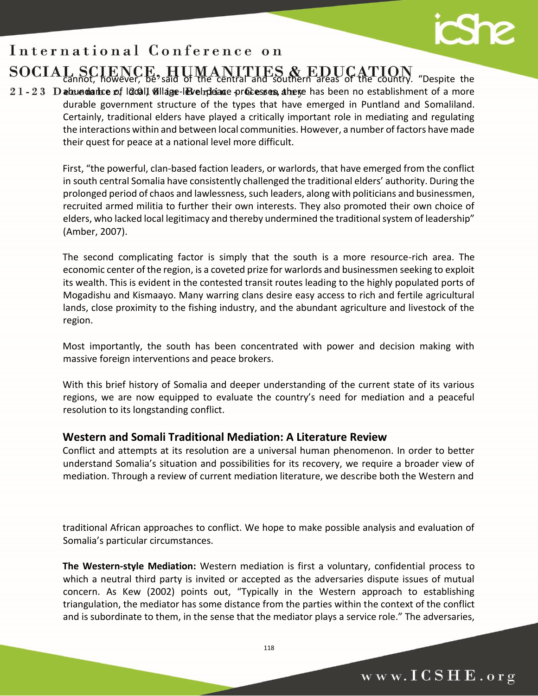## $\overline{\phantom{a}}$ cannot, however, be said of the central and southern areas of the country. "Despite the

 $21 - 23$  D abundance of local, village-level peace processes, there has been no establishment of a more durable government structure of the types that have emerged in Puntland and Somaliland. Certainly, traditional elders have played a critically important role in mediating and regulating the interactions within and between local communities. However, a number of factors have made their quest for peace at a national level more difficult.

> First, "the powerful, clan-based faction leaders, or warlords, that have emerged from the conflict in south central Somalia have consistently challenged the traditional elders' authority. During the prolonged period of chaos and lawlessness, such leaders, along with politicians and businessmen, recruited armed militia to further their own interests. They also promoted their own choice of elders, who lacked local legitimacy and thereby undermined the traditional system of leadership" (Amber, 2007).

> The second complicating factor is simply that the south is a more resource-rich area. The economic center of the region, is a coveted prize for warlords and businessmen seeking to exploit its wealth. This is evident in the contested transit routes leading to the highly populated ports of Mogadishu and Kismaayo. Many warring clans desire easy access to rich and fertile agricultural lands, close proximity to the fishing industry, and the abundant agriculture and livestock of the region.

> Most importantly, the south has been concentrated with power and decision making with massive foreign interventions and peace brokers.

> With this brief history of Somalia and deeper understanding of the current state of its various regions, we are now equipped to evaluate the country's need for mediation and a peaceful resolution to its longstanding conflict.

## **Western and Somali Traditional Mediation: A Literature Review**

Conflict and attempts at its resolution are a universal human phenomenon. In order to better understand Somalia's situation and possibilities for its recovery, we require a broader view of mediation. Through a review of current mediation literature, we describe both the Western and

traditional African approaches to conflict. We hope to make possible analysis and evaluation of Somalia's particular circumstances.

**The Western-style Mediation:** Western mediation is first a voluntary, confidential process to which a neutral third party is invited or accepted as the adversaries dispute issues of mutual concern. As Kew (2002) points out, "Typically in the Western approach to establishing triangulation, the mediator has some distance from the parties within the context of the conflict and is subordinate to them, in the sense that the mediator plays a service role." The adversaries,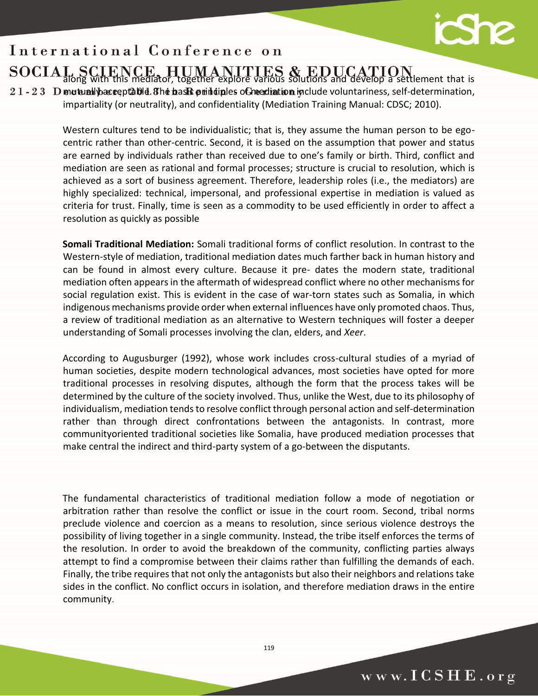

## $\overline{\phantom{a}}$ along with this mediator, together explore various solutions and develop a settlement that is

 $21 - 23$  D mutually acceptable. The basic principles of mediation include voluntariness, self-determination, impartiality (or neutrality), and confidentiality (Mediation Training Manual: CDSC; 2010).

> Western cultures tend to be individualistic; that is, they assume the human person to be egocentric rather than other-centric. Second, it is based on the assumption that power and status are earned by individuals rather than received due to one's family or birth. Third, conflict and mediation are seen as rational and formal processes; structure is crucial to resolution, which is achieved as a sort of business agreement. Therefore, leadership roles (i.e., the mediators) are highly specialized: technical, impersonal, and professional expertise in mediation is valued as criteria for trust. Finally, time is seen as a commodity to be used efficiently in order to affect a resolution as quickly as possible

> **Somali Traditional Mediation:** Somali traditional forms of conflict resolution. In contrast to the Western-style of mediation, traditional mediation dates much farther back in human history and can be found in almost every culture. Because it pre- dates the modern state, traditional mediation often appears in the aftermath of widespread conflict where no other mechanisms for social regulation exist. This is evident in the case of war-torn states such as Somalia, in which indigenous mechanisms provide order when external influences have only promoted chaos. Thus, a review of traditional mediation as an alternative to Western techniques will foster a deeper understanding of Somali processes involving the clan, elders, and *Xeer*.

> According to Augusburger (1992), whose work includes cross-cultural studies of a myriad of human societies, despite modern technological advances, most societies have opted for more traditional processes in resolving disputes, although the form that the process takes will be determined by the culture of the society involved. Thus, unlike the West, due to its philosophy of individualism, mediation tends to resolve conflict through personal action and self-determination rather than through direct confrontations between the antagonists. In contrast, more communityoriented traditional societies like Somalia, have produced mediation processes that make central the indirect and third-party system of a go-between the disputants.

> The fundamental characteristics of traditional mediation follow a mode of negotiation or arbitration rather than resolve the conflict or issue in the court room. Second, tribal norms preclude violence and coercion as a means to resolution, since serious violence destroys the possibility of living together in a single community. Instead, the tribe itself enforces the terms of the resolution. In order to avoid the breakdown of the community, conflicting parties always attempt to find a compromise between their claims rather than fulfilling the demands of each. Finally, the tribe requires that not only the antagonists but also their neighbors and relations take sides in the conflict. No conflict occurs in isolation, and therefore mediation draws in the entire community.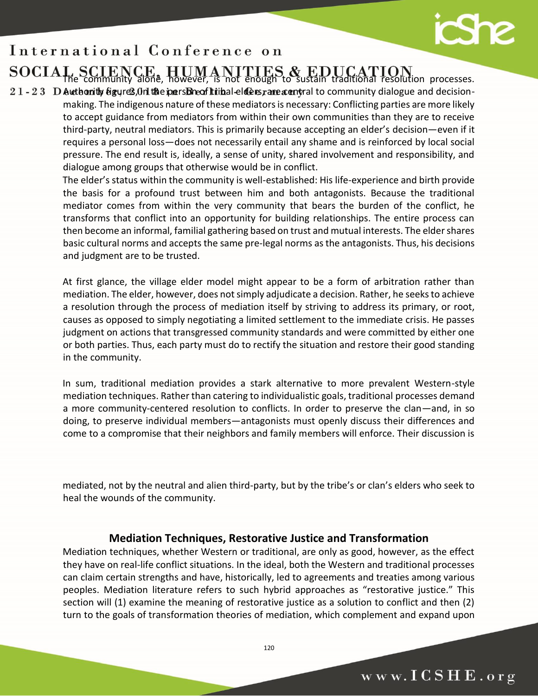# **School**

## $\overline{\phantom{a}}$ The community alone, however, is not enough to sustain traditional resolution processes.

 $21 - 23$  D Authority figures, On the pers Breof tribal-elders, rare accritical to community dialogue and decisionmaking. The indigenous nature of these mediators is necessary: Conflicting parties are more likely to accept guidance from mediators from within their own communities than they are to receive third-party, neutral mediators. This is primarily because accepting an elder's decision—even if it requires a personal loss—does not necessarily entail any shame and is reinforced by local social pressure. The end result is, ideally, a sense of unity, shared involvement and responsibility, and dialogue among groups that otherwise would be in conflict.

> The elder's status within the community is well-established: His life-experience and birth provide the basis for a profound trust between him and both antagonists. Because the traditional mediator comes from within the very community that bears the burden of the conflict, he transforms that conflict into an opportunity for building relationships. The entire process can then become an informal, familial gathering based on trust and mutual interests. The elder shares basic cultural norms and accepts the same pre-legal norms as the antagonists. Thus, his decisions and judgment are to be trusted.

> At first glance, the village elder model might appear to be a form of arbitration rather than mediation. The elder, however, does not simply adjudicate a decision. Rather, he seeks to achieve a resolution through the process of mediation itself by striving to address its primary, or root, causes as opposed to simply negotiating a limited settlement to the immediate crisis. He passes judgment on actions that transgressed community standards and were committed by either one or both parties. Thus, each party must do to rectify the situation and restore their good standing in the community.

> In sum, traditional mediation provides a stark alternative to more prevalent Western-style mediation techniques. Rather than catering to individualistic goals, traditional processes demand a more community-centered resolution to conflicts. In order to preserve the clan—and, in so doing, to preserve individual members—antagonists must openly discuss their differences and come to a compromise that their neighbors and family members will enforce. Their discussion is

> mediated, not by the neutral and alien third-party, but by the tribe's or clan's elders who seek to heal the wounds of the community.

## **Mediation Techniques, Restorative Justice and Transformation**

Mediation techniques, whether Western or traditional, are only as good, however, as the effect they have on real-life conflict situations. In the ideal, both the Western and traditional processes can claim certain strengths and have, historically, led to agreements and treaties among various peoples. Mediation literature refers to such hybrid approaches as "restorative justice." This section will (1) examine the meaning of restorative justice as a solution to conflict and then (2) turn to the goals of transformation theories of mediation, which complement and expand upon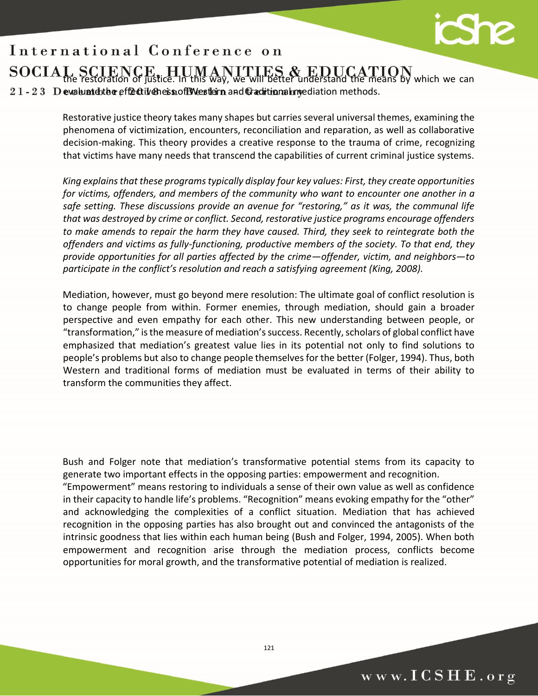

 $\overline{\phantom{a}}$ the restoration of justice. In this way, we will better understand the means by which we can  $21 - 23$  D evaluates the effectiveness of EW estern and Graditional myediation methods.

> Restorative justice theory takes many shapes but carries several universal themes, examining the phenomena of victimization, encounters, reconciliation and reparation, as well as collaborative decision-making. This theory provides a creative response to the trauma of crime, recognizing that victims have many needs that transcend the capabilities of current criminal justice systems.

> *King explains that these programs typically display four key values: First, they create opportunities for victims, offenders, and members of the community who want to encounter one another in a safe setting. These discussions provide an avenue for "restoring," as it was, the communal life that was destroyed by crime or conflict. Second, restorative justice programs encourage offenders to make amends to repair the harm they have caused. Third, they seek to reintegrate both the offenders and victims as fully-functioning, productive members of the society. To that end, they provide opportunities for all parties affected by the crime—offender, victim, and neighbors—to participate in the conflict's resolution and reach a satisfying agreement (King, 2008).*

> Mediation, however, must go beyond mere resolution: The ultimate goal of conflict resolution is to change people from within. Former enemies, through mediation, should gain a broader perspective and even empathy for each other. This new understanding between people, or "transformation," is the measure of mediation's success. Recently, scholars of global conflict have emphasized that mediation's greatest value lies in its potential not only to find solutions to people's problems but also to change people themselves for the better (Folger, 1994). Thus, both Western and traditional forms of mediation must be evaluated in terms of their ability to transform the communities they affect.

> Bush and Folger note that mediation's transformative potential stems from its capacity to generate two important effects in the opposing parties: empowerment and recognition.

> "Empowerment" means restoring to individuals a sense of their own value as well as confidence in their capacity to handle life's problems. "Recognition" means evoking empathy for the "other" and acknowledging the complexities of a conflict situation. Mediation that has achieved recognition in the opposing parties has also brought out and convinced the antagonists of the intrinsic goodness that lies within each human being (Bush and Folger, 1994, 2005). When both empowerment and recognition arise through the mediation process, conflicts become opportunities for moral growth, and the transformative potential of mediation is realized.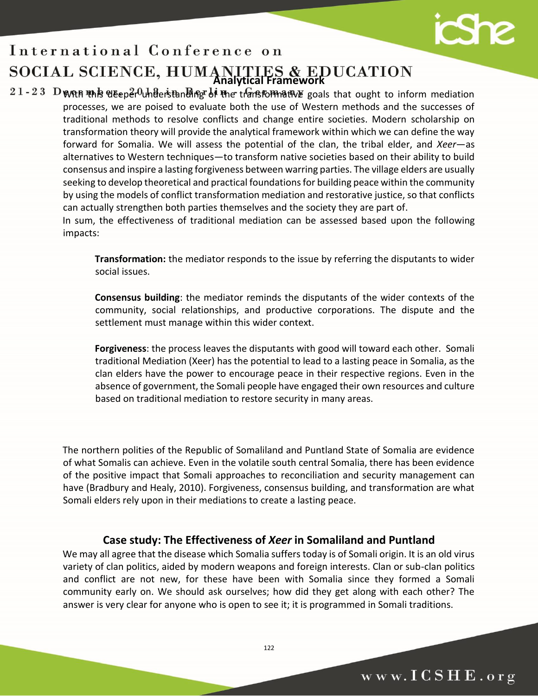

## $\overline{\phantom{a}}$ **Analytical Framework**

 $21 - 23$  D With this deeper understanding of the transformative goals that ought to inform mediation processes, we are poised to evaluate both the use of Western methods and the successes of traditional methods to resolve conflicts and change entire societies. Modern scholarship on transformation theory will provide the analytical framework within which we can define the way forward for Somalia. We will assess the potential of the clan, the tribal elder, and *Xeer*—as alternatives to Western techniques—to transform native societies based on their ability to build consensus and inspire a lasting forgiveness between warring parties. The village elders are usually seeking to develop theoretical and practical foundations for building peace within the community by using the models of conflict transformation mediation and restorative justice, so that conflicts can actually strengthen both parties themselves and the society they are part of.

> In sum, the effectiveness of traditional mediation can be assessed based upon the following impacts:

**Transformation:** the mediator responds to the issue by referring the disputants to wider social issues.

**Consensus building**: the mediator reminds the disputants of the wider contexts of the community, social relationships, and productive corporations. The dispute and the settlement must manage within this wider context.

**Forgiveness**: the process leaves the disputants with good will toward each other. Somali traditional Mediation (Xeer) has the potential to lead to a lasting peace in Somalia, as the clan elders have the power to encourage peace in their respective regions. Even in the absence of government, the Somali people have engaged their own resources and culture based on traditional mediation to restore security in many areas.

The northern polities of the Republic of Somaliland and Puntland State of Somalia are evidence of what Somalis can achieve. Even in the volatile south central Somalia, there has been evidence of the positive impact that Somali approaches to reconciliation and security management can have (Bradbury and Healy, 2010). Forgiveness, consensus building, and transformation are what Somali elders rely upon in their mediations to create a lasting peace.

## **Case study: The Effectiveness of** *Xeer* **in Somaliland and Puntland**

We may all agree that the disease which Somalia suffers today is of Somali origin. It is an old virus variety of clan politics, aided by modern weapons and foreign interests. Clan or sub-clan politics and conflict are not new, for these have been with Somalia since they formed a Somali community early on. We should ask ourselves; how did they get along with each other? The answer is very clear for anyone who is open to see it; it is programmed in Somali traditions.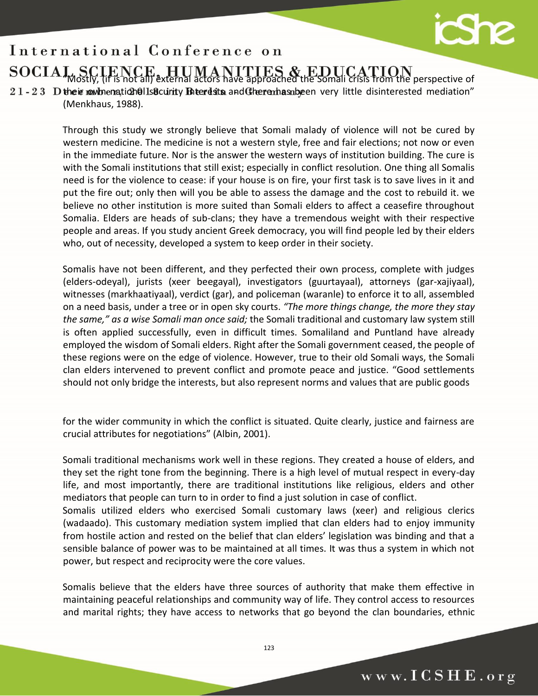

 $\overline{\phantom{a}}$ "Mostly, (if is not all) external actors have approached the Somali crisis from the perspective of

 $21 - 23$  D their mow hengtich alls activity Enterdistical and Cheran has absequently little disinterested mediation" (Menkhaus, 1988).

> Through this study we strongly believe that Somali malady of violence will not be cured by western medicine. The medicine is not a western style, free and fair elections; not now or even in the immediate future. Nor is the answer the western ways of institution building. The cure is with the Somali institutions that still exist; especially in conflict resolution. One thing all Somalis need is for the violence to cease: if your house is on fire, your first task is to save lives in it and put the fire out; only then will you be able to assess the damage and the cost to rebuild it. we believe no other institution is more suited than Somali elders to affect a ceasefire throughout Somalia. Elders are heads of sub-clans; they have a tremendous weight with their respective people and areas. If you study ancient Greek democracy, you will find people led by their elders who, out of necessity, developed a system to keep order in their society.

> Somalis have not been different, and they perfected their own process, complete with judges (elders-odeyal), jurists (xeer beegayal), investigators (guurtayaal), attorneys (gar-xajiyaal), witnesses (markhaatiyaal), verdict (gar), and policeman (waranle) to enforce it to all, assembled on a need basis, under a tree or in open sky courts. *"The more things change, the more they stay the same," as a wise Somali man once said;* the Somali traditional and customary law system still is often applied successfully, even in difficult times. Somaliland and Puntland have already employed the wisdom of Somali elders. Right after the Somali government ceased, the people of these regions were on the edge of violence. However, true to their old Somali ways, the Somali clan elders intervened to prevent conflict and promote peace and justice. "Good settlements should not only bridge the interests, but also represent norms and values that are public goods

> for the wider community in which the conflict is situated. Quite clearly, justice and fairness are crucial attributes for negotiations" (Albin, 2001).

> Somali traditional mechanisms work well in these regions. They created a house of elders, and they set the right tone from the beginning. There is a high level of mutual respect in every-day life, and most importantly, there are traditional institutions like religious, elders and other mediators that people can turn to in order to find a just solution in case of conflict.

> Somalis utilized elders who exercised Somali customary laws (xeer) and religious clerics (wadaado). This customary mediation system implied that clan elders had to enjoy immunity from hostile action and rested on the belief that clan elders' legislation was binding and that a sensible balance of power was to be maintained at all times. It was thus a system in which not power, but respect and reciprocity were the core values.

> Somalis believe that the elders have three sources of authority that make them effective in maintaining peaceful relationships and community way of life. They control access to resources and marital rights; they have access to networks that go beyond the clan boundaries, ethnic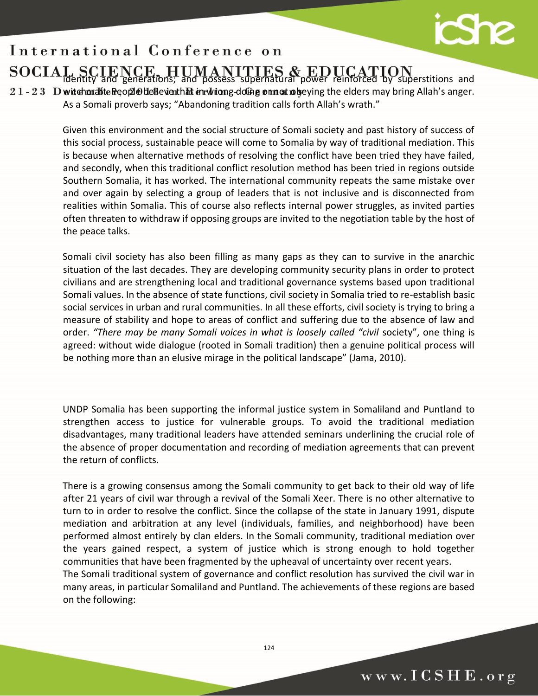

## $\overline{\phantom{a}}$ identity and generations; and possess supernatural power reinforced by superstitions and

 $21 - 23$  D witchcrafte People defleventh. Exercision g-doling or not robeying the elders may bring Allah's anger. As a Somali proverb says; "Abandoning tradition calls forth Allah's wrath."

> Given this environment and the social structure of Somali society and past history of success of this social process, sustainable peace will come to Somalia by way of traditional mediation. This is because when alternative methods of resolving the conflict have been tried they have failed, and secondly, when this traditional conflict resolution method has been tried in regions outside Southern Somalia, it has worked. The international community repeats the same mistake over and over again by selecting a group of leaders that is not inclusive and is disconnected from realities within Somalia. This of course also reflects internal power struggles, as invited parties often threaten to withdraw if opposing groups are invited to the negotiation table by the host of the peace talks.

> Somali civil society has also been filling as many gaps as they can to survive in the anarchic situation of the last decades. They are developing community security plans in order to protect civilians and are strengthening local and traditional governance systems based upon traditional Somali values. In the absence of state functions, civil society in Somalia tried to re-establish basic social services in urban and rural communities. In all these efforts, civil society is trying to bring a measure of stability and hope to areas of conflict and suffering due to the absence of law and order. "There may be many Somali voices in what is loosely called "civil society", one thing is agreed: without wide dialogue (rooted in Somali tradition) then a genuine political process will be nothing more than an elusive mirage in the political landscape" (Jama, 2010).

> UNDP Somalia has been supporting the informal justice system in Somaliland and Puntland to strengthen access to justice for vulnerable groups. To avoid the traditional mediation disadvantages, many traditional leaders have attended seminars underlining the crucial role of the absence of proper documentation and recording of mediation agreements that can prevent the return of conflicts.

> There is a growing consensus among the Somali community to get back to their old way of life after 21 years of civil war through a revival of the Somali Xeer. There is no other alternative to turn to in order to resolve the conflict. Since the collapse of the state in January 1991, dispute mediation and arbitration at any level (individuals, families, and neighborhood) have been performed almost entirely by clan elders. In the Somali community, traditional mediation over the years gained respect, a system of justice which is strong enough to hold together communities that have been fragmented by the upheaval of uncertainty over recent years. The Somali traditional system of governance and conflict resolution has survived the civil war in many areas, in particular Somaliland and Puntland. The achievements of these regions are based on the following: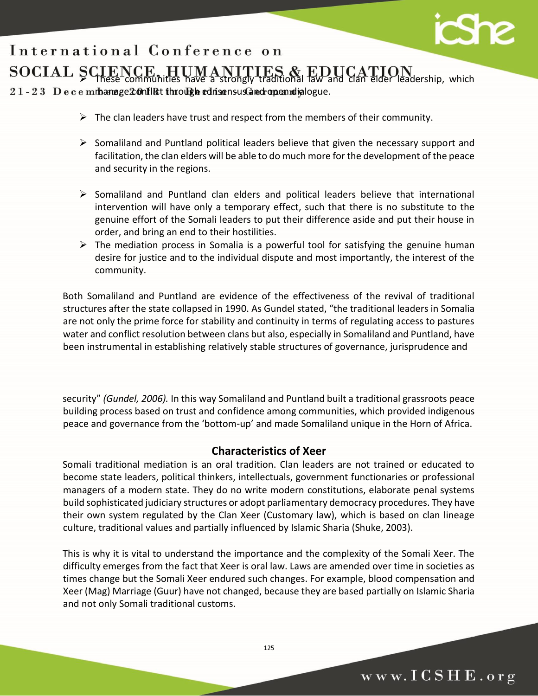$\overline{\phantom{a}}$  $\geq$  These communities have a strongly traditional law and clan elder leadership, which  $21 - 23$  Decembanage 20 on Fig. through consensus and open dialogue.

- $\triangleright$  The clan leaders have trust and respect from the members of their community.
- $\triangleright$  Somaliland and Puntland political leaders believe that given the necessary support and facilitation, the clan elders will be able to do much more for the development of the peace and security in the regions.
- $\triangleright$  Somaliland and Puntland clan elders and political leaders believe that international intervention will have only a temporary effect, such that there is no substitute to the genuine effort of the Somali leaders to put their difference aside and put their house in order, and bring an end to their hostilities.
- $\triangleright$  The mediation process in Somalia is a powerful tool for satisfying the genuine human desire for justice and to the individual dispute and most importantly, the interest of the community.

Both Somaliland and Puntland are evidence of the effectiveness of the revival of traditional structures after the state collapsed in 1990. As Gundel stated, "the traditional leaders in Somalia are not only the prime force for stability and continuity in terms of regulating access to pastures water and conflict resolution between clans but also, especially in Somaliland and Puntland, have been instrumental in establishing relatively stable structures of governance, jurisprudence and

security" *(Gundel, 2006).* In this way Somaliland and Puntland built a traditional grassroots peace building process based on trust and confidence among communities, which provided indigenous peace and governance from the 'bottom-up' and made Somaliland unique in the Horn of Africa.

## **Characteristics of Xeer**

Somali traditional mediation is an oral tradition. Clan leaders are not trained or educated to become state leaders, political thinkers, intellectuals, government functionaries or professional managers of a modern state. They do no write modern constitutions, elaborate penal systems build sophisticated judiciary structures or adopt parliamentary democracy procedures. They have their own system regulated by the Clan Xeer (Customary law), which is based on clan lineage culture, traditional values and partially influenced by Islamic Sharia (Shuke, 2003).

This is why it is vital to understand the importance and the complexity of the Somali Xeer. The difficulty emerges from the fact that Xeer is oral law. Laws are amended over time in societies as times change but the Somali Xeer endured such changes. For example, blood compensation and Xeer (Mag) Marriage (Guur) have not changed, because they are based partially on Islamic Sharia and not only Somali traditional customs.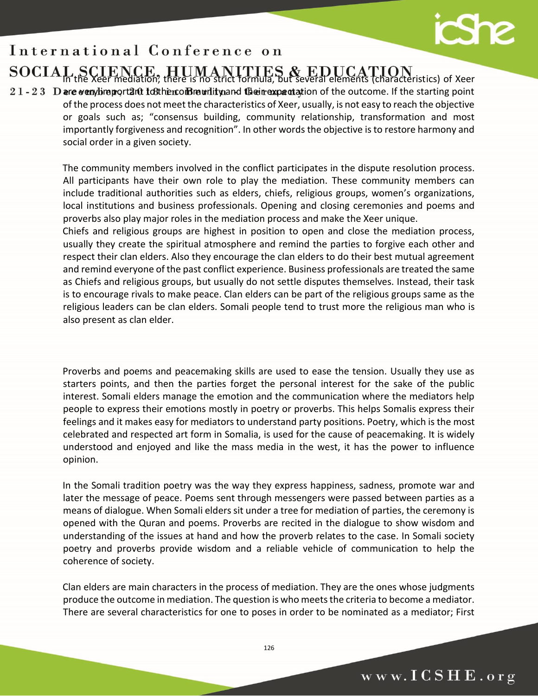## $\overline{\phantom{a}}$ In the Xeer mediation, there is no strict formula, but several elements (characteristics) of Xeer

 $21 - 23$  D are veny limportant to the community and their expectation of the outcome. If the starting point of the process does not meet the characteristics of Xeer, usually, is not easy to reach the objective or goals such as; "consensus building, community relationship, transformation and most importantly forgiveness and recognition". In other words the objective is to restore harmony and social order in a given society.

> The community members involved in the conflict participates in the dispute resolution process. All participants have their own role to play the mediation. These community members can include traditional authorities such as elders, chiefs, religious groups, women's organizations, local institutions and business professionals. Opening and closing ceremonies and poems and proverbs also play major roles in the mediation process and make the Xeer unique.

> Chiefs and religious groups are highest in position to open and close the mediation process, usually they create the spiritual atmosphere and remind the parties to forgive each other and respect their clan elders. Also they encourage the clan elders to do their best mutual agreement and remind everyone of the past conflict experience. Business professionals are treated the same as Chiefs and religious groups, but usually do not settle disputes themselves. Instead, their task is to encourage rivals to make peace. Clan elders can be part of the religious groups same as the religious leaders can be clan elders. Somali people tend to trust more the religious man who is also present as clan elder.

> Proverbs and poems and peacemaking skills are used to ease the tension. Usually they use as starters points, and then the parties forget the personal interest for the sake of the public interest. Somali elders manage the emotion and the communication where the mediators help people to express their emotions mostly in poetry or proverbs. This helps Somalis express their feelings and it makes easy for mediators to understand party positions. Poetry, which is the most celebrated and respected art form in Somalia, is used for the cause of peacemaking. It is widely understood and enjoyed and like the mass media in the west, it has the power to influence opinion.

> In the Somali tradition poetry was the way they express happiness, sadness, promote war and later the message of peace. Poems sent through messengers were passed between parties as a means of dialogue. When Somali elders sit under a tree for mediation of parties, the ceremony is opened with the Quran and poems. Proverbs are recited in the dialogue to show wisdom and understanding of the issues at hand and how the proverb relates to the case. In Somali society poetry and proverbs provide wisdom and a reliable vehicle of communication to help the coherence of society.

> Clan elders are main characters in the process of mediation. They are the ones whose judgments produce the outcome in mediation. The question is who meets the criteria to become a mediator. There are several characteristics for one to poses in order to be nominated as a mediator; First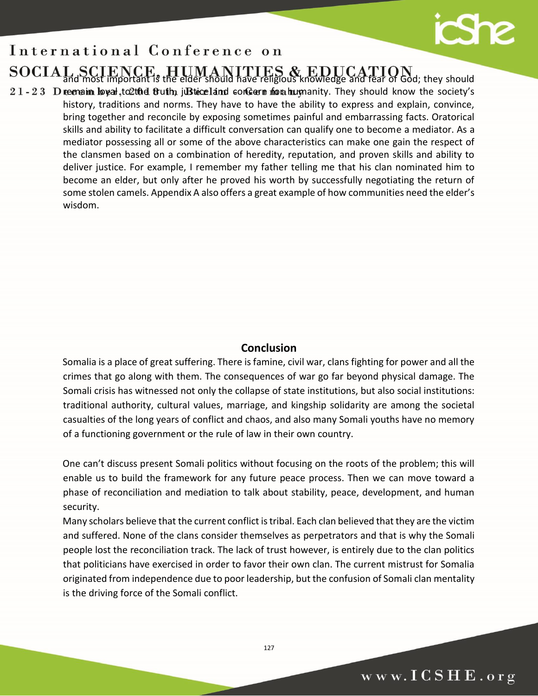## $\overline{\phantom{a}}$ and most important is the eider should have religious knowledge and fear of God; they should

 $21 - 23$  D remain loyal, to 2th d fluth, justice land concern from humanity. They should know the society's history, traditions and norms. They have to have the ability to express and explain, convince, bring together and reconcile by exposing sometimes painful and embarrassing facts. Oratorical skills and ability to facilitate a difficult conversation can qualify one to become a mediator. As a mediator possessing all or some of the above characteristics can make one gain the respect of the clansmen based on a combination of heredity, reputation, and proven skills and ability to deliver justice. For example, I remember my father telling me that his clan nominated him to become an elder, but only after he proved his worth by successfully negotiating the return of some stolen camels. Appendix A also offers a great example of how communities need the elder's wisdom.

## **Conclusion**

Somalia is a place of great suffering. There is famine, civil war, clans fighting for power and all the crimes that go along with them. The consequences of war go far beyond physical damage. The Somali crisis has witnessed not only the collapse of state institutions, but also social institutions: traditional authority, cultural values, marriage, and kingship solidarity are among the societal casualties of the long years of conflict and chaos, and also many Somali youths have no memory of a functioning government or the rule of law in their own country.

One can't discuss present Somali politics without focusing on the roots of the problem; this will enable us to build the framework for any future peace process. Then we can move toward a phase of reconciliation and mediation to talk about stability, peace, development, and human security.

Many scholars believe that the current conflict is tribal. Each clan believed that they are the victim and suffered. None of the clans consider themselves as perpetrators and that is why the Somali people lost the reconciliation track. The lack of trust however, is entirely due to the clan politics that politicians have exercised in order to favor their own clan. The current mistrust for Somalia originated from independence due to poor leadership, but the confusion of Somali clan mentality is the driving force of the Somali conflict.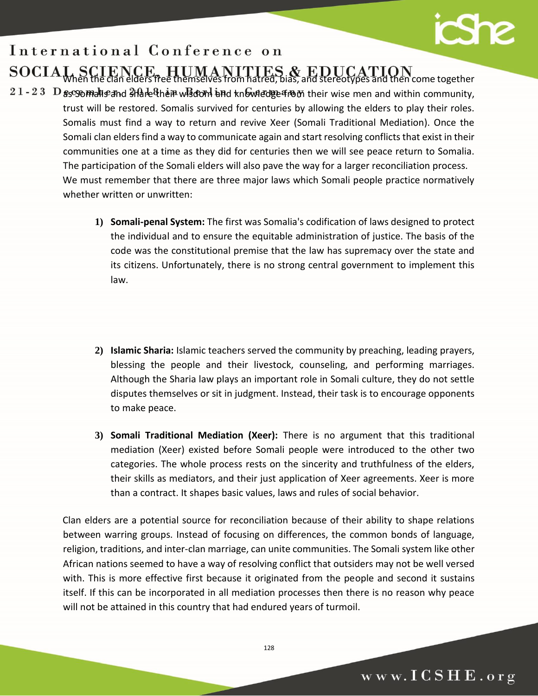# **S**

## International Conference on  $\overline{\phantom{a}}$

## When the clan elders free themselves from hatred, bias, and stereotypes and then come together

- $21 23$  D as somal is and share their wiscom and knowledge from their wise men and within community, trust will be restored. Somalis survived for centuries by allowing the elders to play their roles. Somalis must find a way to return and revive Xeer (Somali Traditional Mediation). Once the Somali clan elders find a way to communicate again and start resolving conflicts that exist in their communities one at a time as they did for centuries then we will see peace return to Somalia. The participation of the Somali elders will also pave the way for a larger reconciliation process. We must remember that there are three major laws which Somali people practice normatively whether written or unwritten:
	- **1) Somali-penal System:** The first was Somalia's codification of laws designed to protect the individual and to ensure the equitable administration of justice. The basis of the code was the constitutional premise that the law has supremacy over the state and its citizens. Unfortunately, there is no strong central government to implement this law.
	- **2) Islamic Sharia:** Islamic teachers served the community by preaching, leading prayers, blessing the people and their livestock, counseling, and performing marriages. Although the Sharia law plays an important role in Somali culture, they do not settle disputes themselves or sit in judgment. Instead, their task is to encourage opponents to make peace.
	- **3) Somali Traditional Mediation (Xeer):** There is no argument that this traditional mediation (Xeer) existed before Somali people were introduced to the other two categories. The whole process rests on the sincerity and truthfulness of the elders, their skills as mediators, and their just application of Xeer agreements. Xeer is more than a contract. It shapes basic values, laws and rules of social behavior.

Clan elders are a potential source for reconciliation because of their ability to shape relations between warring groups. Instead of focusing on differences, the common bonds of language, religion, traditions, and inter-clan marriage, can unite communities. The Somali system like other African nations seemed to have a way of resolving conflict that outsiders may not be well versed with. This is more effective first because it originated from the people and second it sustains itself. If this can be incorporated in all mediation processes then there is no reason why peace will not be attained in this country that had endured years of turmoil.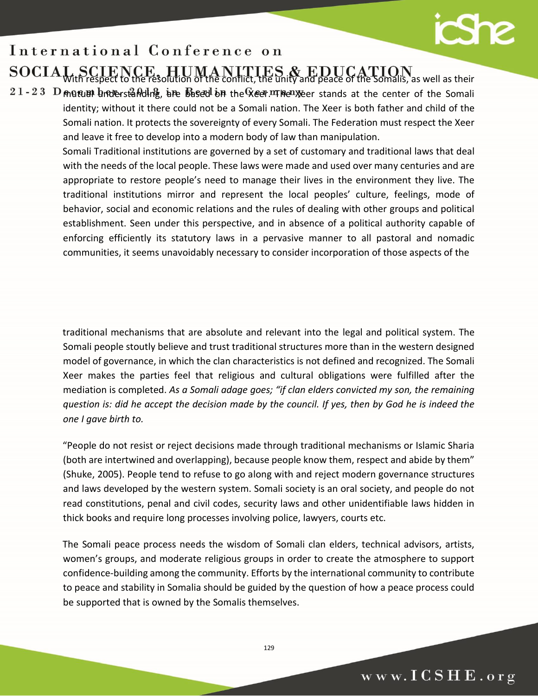# $\mathbf{S}$

## International Conference on

## $\overline{\phantom{a}}$ With respect to the resolution of the conflict, the unity and peace of the Somalis, as well as their

 $21 - 23$  D mutual understanding, are based on the Xeer. The Xeer stands at the center of the Somali identity; without it there could not be a Somali nation. The Xeer is both father and child of the Somali nation. It protects the sovereignty of every Somali. The Federation must respect the Xeer and leave it free to develop into a modern body of law than manipulation.

> Somali Traditional institutions are governed by a set of customary and traditional laws that deal with the needs of the local people. These laws were made and used over many centuries and are appropriate to restore people's need to manage their lives in the environment they live. The traditional institutions mirror and represent the local peoples' culture, feelings, mode of behavior, social and economic relations and the rules of dealing with other groups and political establishment. Seen under this perspective, and in absence of a political authority capable of enforcing efficiently its statutory laws in a pervasive manner to all pastoral and nomadic communities, it seems unavoidably necessary to consider incorporation of those aspects of the

> traditional mechanisms that are absolute and relevant into the legal and political system. The Somali people stoutly believe and trust traditional structures more than in the western designed model of governance, in which the clan characteristics is not defined and recognized. The Somali Xeer makes the parties feel that religious and cultural obligations were fulfilled after the mediation is completed. *As a Somali adage goes; "if clan elders convicted my son, the remaining question is: did he accept the decision made by the council. If yes, then by God he is indeed the one I gave birth to.*

> "People do not resist or reject decisions made through traditional mechanisms or Islamic Sharia (both are intertwined and overlapping), because people know them, respect and abide by them" (Shuke, 2005). People tend to refuse to go along with and reject modern governance structures and laws developed by the western system. Somali society is an oral society, and people do not read constitutions, penal and civil codes, security laws and other unidentifiable laws hidden in thick books and require long processes involving police, lawyers, courts etc.

> The Somali peace process needs the wisdom of Somali clan elders, technical advisors, artists, women's groups, and moderate religious groups in order to create the atmosphere to support confidence-building among the community. Efforts by the international community to contribute to peace and stability in Somalia should be guided by the question of how a peace process could be supported that is owned by the Somalis themselves.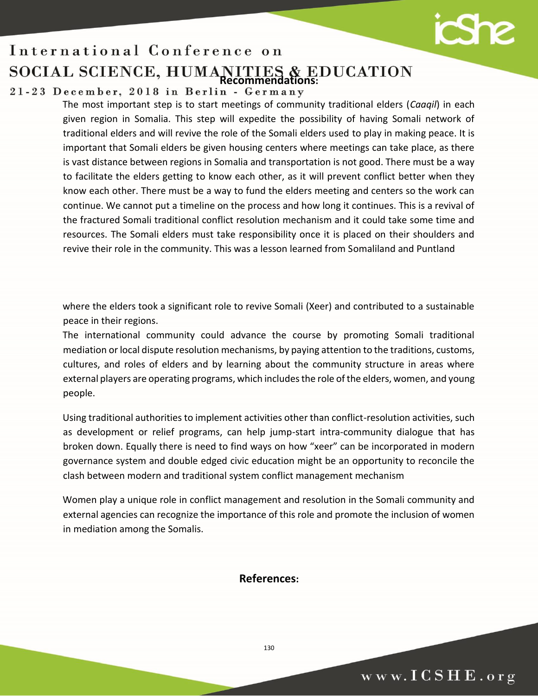## International Conference on  $\overline{\phantom{a}}$ **Recommendations:**

The most important step is to start meetings of community traditional elders (*Caaqil*) in each given region in Somalia. This step will expedite the possibility of having Somali network of traditional elders and will revive the role of the Somali elders used to play in making peace. It is important that Somali elders be given housing centers where meetings can take place, as there is vast distance between regions in Somalia and transportation is not good. There must be a way to facilitate the elders getting to know each other, as it will prevent conflict better when they know each other. There must be a way to fund the elders meeting and centers so the work can continue. We cannot put a timeline on the process and how long it continues. This is a revival of the fractured Somali traditional conflict resolution mechanism and it could take some time and resources. The Somali elders must take responsibility once it is placed on their shoulders and revive their role in the community. This was a lesson learned from Somaliland and Puntland

where the elders took a significant role to revive Somali (Xeer) and contributed to a sustainable peace in their regions.

The international community could advance the course by promoting Somali traditional mediation or local dispute resolution mechanisms, by paying attention to the traditions, customs, cultures, and roles of elders and by learning about the community structure in areas where external players are operating programs, which includes the role of the elders, women, and young people.

Using traditional authorities to implement activities other than conflict-resolution activities, such as development or relief programs, can help jump-start intra-community dialogue that has broken down. Equally there is need to find ways on how "xeer" can be incorporated in modern governance system and double edged civic education might be an opportunity to reconcile the clash between modern and traditional system conflict management mechanism

Women play a unique role in conflict management and resolution in the Somali community and external agencies can recognize the importance of this role and promote the inclusion of women in mediation among the Somalis.

## **References:**

www.ICSHE.org